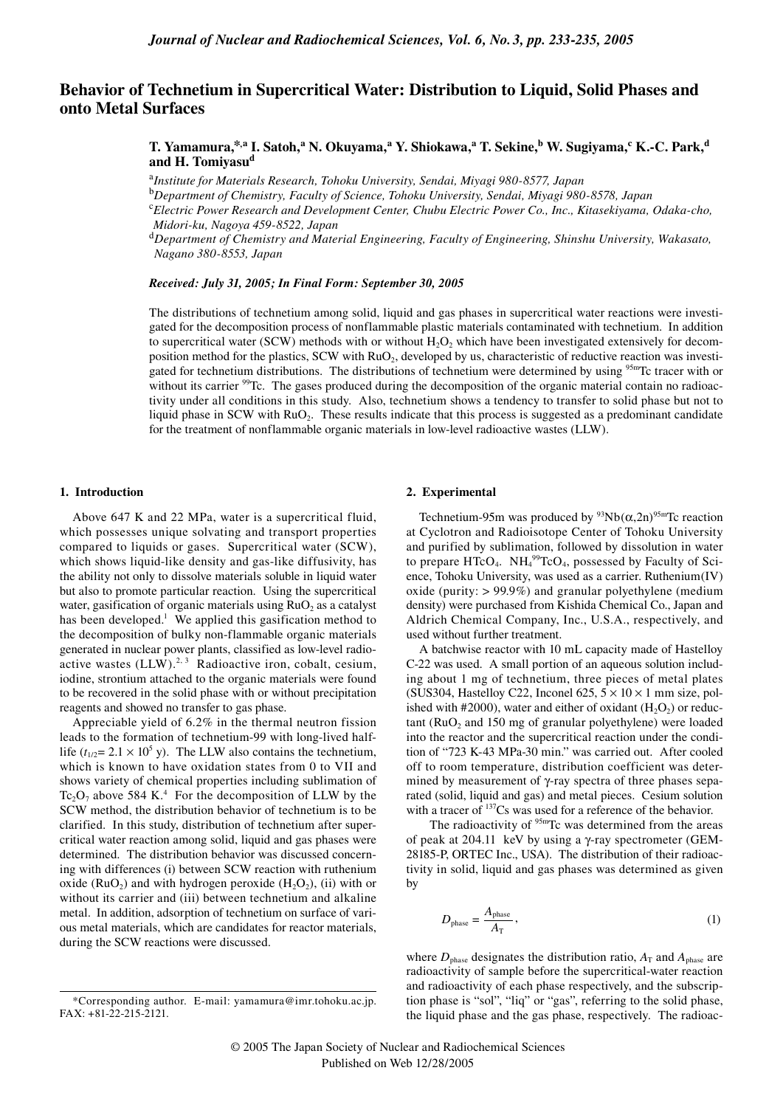# **Behavior of Technetium in Supercritical Water: Distribution to Liquid, Solid Phases and onto Metal Surfaces**

 $\bf{T.}$  Yamamura,\*,a I. Satoh,a N. Okuyama,a Y. Shiokawa,a T. Sekine,<sup>b</sup> W. Sugiyama,<sup>c</sup> K.-C. Park,<sup>d</sup> and H. Tomiyasu<sup>d</sup>

<sup>a</sup>*Institute for Materials Research, Tohoku University, Sendai, Miyagi 980-8577, Japan*

<sup>b</sup>*Department of Chemistry, Faculty of Science, Tohoku University, Sendai, Miyagi 980-8578, Japan*

<sup>c</sup>*Electric Power Research and Development Center, Chubu Electric Power Co., Inc., Kitasekiyama, Odaka-cho, Midori-ku, Nagoya 459-8522, Japan*

<sup>d</sup>*Department of Chemistry and Material Engineering, Faculty of Engineering, Shinshu University, Wakasato, Nagano 380-8553, Japan*

#### *Received: July 31, 2005; In Final Form: September 30, 2005*

The distributions of technetium among solid, liquid and gas phases in supercritical water reactions were investigated for the decomposition process of nonflammable plastic materials contaminated with technetium. In addition to supercritical water (SCW) methods with or without  $H_2O_2$  which have been investigated extensively for decomposition method for the plastics, SCW with RuO2, developed by us, characteristic of reductive reaction was investigated for technetium distributions. The distributions of technetium were determined by using <sup>95m</sup>Tc tracer with or without its carrier <sup>99</sup>Tc. The gases produced during the decomposition of the organic material contain no radioactivity under all conditions in this study. Also, technetium shows a tendency to transfer to solid phase but not to liquid phase in SCW with  $RuO<sub>2</sub>$ . These results indicate that this process is suggested as a predominant candidate for the treatment of nonflammable organic materials in low-level radioactive wastes (LLW).

# **1. Introduction**

Above 647 K and 22 MPa, water is a supercritical fluid, which possesses unique solvating and transport properties compared to liquids or gases. Supercritical water (SCW), which shows liquid-like density and gas-like diffusivity, has the ability not only to dissolve materials soluble in liquid water but also to promote particular reaction. Using the supercritical water, gasification of organic materials using  $RuO<sub>2</sub>$  as a catalyst has been developed.<sup>1</sup> We applied this gasification method to the decomposition of bulky non-flammable organic materials generated in nuclear power plants, classified as low-level radioactive wastes  $(LLW)^{2,3}$  Radioactive iron, cobalt, cesium, iodine, strontium attached to the organic materials were found to be recovered in the solid phase with or without precipitation reagents and showed no transfer to gas phase.

Appreciable yield of 6.2% in the thermal neutron fission leads to the formation of technetium-99 with long-lived halflife  $(t_{1/2} = 2.1 \times 10^5 \text{ y})$ . The LLW also contains the technetium, which is known to have oxidation states from 0 to VII and shows variety of chemical properties including sublimation of  $Tc_2O_7$  above 584 K.<sup>4</sup> For the decomposition of LLW by the SCW method, the distribution behavior of technetium is to be clarified. In this study, distribution of technetium after supercritical water reaction among solid, liquid and gas phases were determined. The distribution behavior was discussed concerning with differences (i) between SCW reaction with ruthenium oxide ( $RuO<sub>2</sub>$ ) and with hydrogen peroxide ( $H<sub>2</sub>O<sub>2</sub>$ ), (ii) with or without its carrier and (iii) between technetium and alkaline metal. In addition, adsorption of technetium on surface of various metal materials, which are candidates for reactor materials, during the SCW reactions were discussed.

# **2. Experimental**

Technetium-95m was produced by  $93Nb(\alpha,2n)^{95m}$ Tc reaction at Cyclotron and Radioisotope Center of Tohoku University and purified by sublimation, followed by dissolution in water to prepare HTcO<sub>4</sub>.  $NH<sub>4</sub><sup>99</sup>TCO<sub>4</sub>$ , possessed by Faculty of Science, Tohoku University, was used as a carrier. Ruthenium(IV) oxide (purity:  $> 99.9\%$ ) and granular polyethylene (medium density) were purchased from Kishida Chemical Co., Japan and Aldrich Chemical Company, Inc., U.S.A., respectively, and used without further treatment.

A batchwise reactor with 10 mL capacity made of Hastelloy C-22 was used. A small portion of an aqueous solution including about 1 mg of technetium, three pieces of metal plates (SUS304, Hastelloy C22, Inconel 625,  $5 \times 10 \times 1$  mm size, polished with #2000), water and either of oxidant  $(H_2O_2)$  or reduc- $\tanctan(RuO<sub>2</sub>$  and 150 mg of granular polyethylene) were loaded into the reactor and the supercritical reaction under the condition of "723 K-43 MPa-30 min." was carried out. After cooled off to room temperature, distribution coefficient was determined by measurement of γ-ray spectra of three phases separated (solid, liquid and gas) and metal pieces. Cesium solution with a tracer of <sup>137</sup>Cs was used for a reference of the behavior.

The radioactivity of  $95m$ Tc was determined from the areas of peak at 204.11 keV by using a γ-ray spectrometer (GEM-28185-P, ORTEC Inc., USA). The distribution of their radioactivity in solid, liquid and gas phases was determined as given by

$$
D_{\text{phase}} = \frac{A_{\text{phase}}}{A_{\text{T}}},\tag{1}
$$

where  $D_{\text{phase}}$  designates the distribution ratio,  $A_{\text{T}}$  and  $A_{\text{phase}}$  are radioactivity of sample before the supercritical-water reaction and radioactivity of each phase respectively, and the subscription phase is "sol", "liq" or "gas", referring to the solid phase, the liquid phase and the gas phase, respectively. The radioac-

<sup>\*</sup>Corresponding author. E-mail: yamamura@imr.tohoku.ac.jp. FAX: +81-22-215-2121.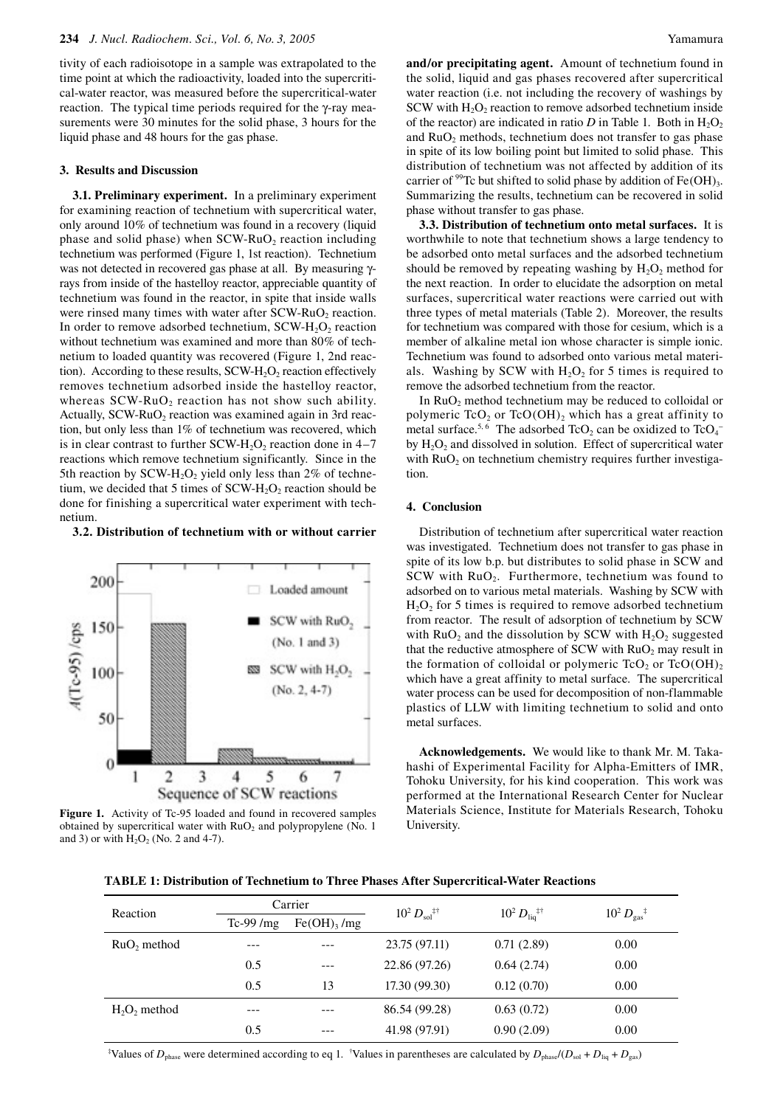tivity of each radioisotope in a sample was extrapolated to the time point at which the radioactivity, loaded into the supercritical-water reactor, was measured before the supercritical-water reaction. The typical time periods required for the γ-ray measurements were 30 minutes for the solid phase, 3 hours for the liquid phase and 48 hours for the gas phase.

# **3. Results and Discussion**

**3.1. Preliminary experiment.** In a preliminary experiment for examining reaction of technetium with supercritical water, only around 10% of technetium was found in a recovery (liquid phase and solid phase) when  $SCW-RuO<sub>2</sub>$  reaction including technetium was performed (Figure 1, 1st reaction). Technetium was not detected in recovered gas phase at all. By measuring γrays from inside of the hastelloy reactor, appreciable quantity of technetium was found in the reactor, in spite that inside walls were rinsed many times with water after SCW-RuO<sub>2</sub> reaction. In order to remove adsorbed technetium,  $SCW-H<sub>2</sub>O<sub>2</sub>$  reaction without technetium was examined and more than 80% of technetium to loaded quantity was recovered (Figure 1, 2nd reaction). According to these results,  $SCW-H<sub>2</sub>O<sub>2</sub>$  reaction effectively removes technetium adsorbed inside the hastelloy reactor, whereas  $SCW-RuO<sub>2</sub>$  reaction has not show such ability. Actually,  $SCW-RuO<sub>2</sub>$  reaction was examined again in 3rd reaction, but only less than 1% of technetium was recovered, which is in clear contrast to further  $SCW-H<sub>2</sub>O<sub>2</sub>$  reaction done in 4–7 reactions which remove technetium significantly. Since in the 5th reaction by SCW-H<sub>2</sub>O<sub>2</sub> yield only less than 2% of technetium, we decided that 5 times of  $SCW-H<sub>2</sub>O<sub>2</sub>$  reaction should be done for finishing a supercritical water experiment with technetium.

**3.2. Distribution of technetium with or without carrier** 





**and/or precipitating agent.** Amount of technetium found in the solid, liquid and gas phases recovered after supercritical water reaction (i.e. not including the recovery of washings by SCW with  $H_2O_2$  reaction to remove adsorbed technetium inside of the reactor) are indicated in ratio  $D$  in Table 1. Both in  $H_2O_2$ and  $RuO<sub>2</sub>$  methods, technetium does not transfer to gas phase in spite of its low boiling point but limited to solid phase. This distribution of technetium was not affected by addition of its carrier of <sup>99</sup>Tc but shifted to solid phase by addition of Fe(OH)<sub>3</sub>. Summarizing the results, technetium can be recovered in solid phase without transfer to gas phase.

**3.3. Distribution of technetium onto metal surfaces.** It is worthwhile to note that technetium shows a large tendency to be adsorbed onto metal surfaces and the adsorbed technetium should be removed by repeating washing by  $H_2O_2$  method for the next reaction. In order to elucidate the adsorption on metal surfaces, supercritical water reactions were carried out with three types of metal materials (Table 2). Moreover, the results for technetium was compared with those for cesium, which is a member of alkaline metal ion whose character is simple ionic. Technetium was found to adsorbed onto various metal materials. Washing by SCW with  $H_2O_2$  for 5 times is required to remove the adsorbed technetium from the reactor.

In RuO<sub>2</sub> method technetium may be reduced to colloidal or polymeric  $TcO<sub>2</sub>$  or  $TcO(OH)<sub>2</sub>$  which has a great affinity to metal surface.<sup>5,6</sup> The adsorbed TcO<sub>2</sub> can be oxidized to TcO<sub>4</sub><sup>-</sup> by  $H_2O_2$  and dissolved in solution. Effect of supercritical water with  $RuO<sub>2</sub>$  on technetium chemistry requires further investigation.

#### **4. Conclusion**

Distribution of technetium after supercritical water reaction was investigated. Technetium does not transfer to gas phase in spite of its low b.p. but distributes to solid phase in SCW and SCW with  $RuO<sub>2</sub>$ . Furthermore, technetium was found to adsorbed on to various metal materials. Washing by SCW with  $H<sub>2</sub>O<sub>2</sub>$  for 5 times is required to remove adsorbed technetium from reactor. The result of adsorption of technetium by SCW with  $RuO<sub>2</sub>$  and the dissolution by SCW with  $H<sub>2</sub>O<sub>2</sub>$  suggested that the reductive atmosphere of SCW with  $RuO<sub>2</sub>$  may result in the formation of colloidal or polymeric  $TcO<sub>2</sub>$  or  $TcO(OH)<sub>2</sub>$ which have a great affinity to metal surface. The supercritical water process can be used for decomposition of non-flammable plastics of LLW with limiting technetium to solid and onto metal surfaces.

**Acknowledgements.** We would like to thank Mr. M. Takahashi of Experimental Facility for Alpha-Emitters of IMR, Tohoku University, for his kind cooperation. This work was performed at the International Research Center for Nuclear Materials Science, Institute for Materials Research, Tohoku University.

**TABLE 1: Distribution of Technetium to Three Phases After Supercritical-Water Reactions**

| Reaction       | Carrier    |                           | $10^2 D_{\rm sol}$ <sup>‡†</sup> |                                     |                                 |  |
|----------------|------------|---------------------------|----------------------------------|-------------------------------------|---------------------------------|--|
|                | $Tc-99/mg$ | $Fe(OH)$ <sub>3</sub> /mg |                                  | $10^2 D_{\text{liq}}$ <sup>‡†</sup> | $10^2 D_{\rm gas}$ <sup>‡</sup> |  |
| $RuO$ , method | ---        |                           | 23.75 (97.11)                    | 0.71(2.89)                          | 0.00                            |  |
|                | 0.5        |                           | 22.86 (97.26)                    | 0.64(2.74)                          | 0.00                            |  |
|                | 0.5        | 13                        | 17.30(99.30)                     | 0.12(0.70)                          | 0.00                            |  |
| $H2O2$ method  |            |                           | 86.54 (99.28)                    | 0.63(0.72)                          | 0.00                            |  |
|                | 0.5        | ---                       | 41.98 (97.91)                    | 0.90(2.09)                          | 0.00                            |  |

<sup>‡</sup>Values of  $D_{\text{phase}}$  were determined according to eq 1. <sup>†</sup>Values in parentheses are calculated by  $D_{\text{phase}}/(D_{\text{sol}}+D_{\text{liq}}+D_{\text{gas}})$